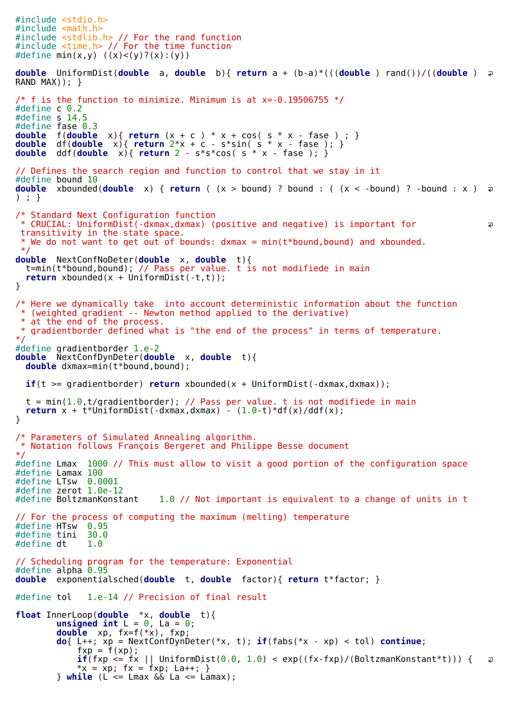```
#include <stdio.h>
#include <math.h>
#include <stdlib.h> // For the rand function
#include <time.h> // For the time function
#define min(x,y) ((x) < (y)?(x):(y))
double UniformDist(double a, double b){ return a + (b-a)*(((double ) rand())/((double )
RAND MAX)); }
/* f is the function to minimize. Minimum is at x=-0.19506755 */
#define c 0.2
#define s 14.5
#define fase 0.3
double f(double x){ return (x + c ) * x + cos( s * x - fase ) ; }
double df(double x){ return 2*x + c - s*sin( s * x - fase ); }
double ddf(double x){ return 2 - s*s*cos( s * x - fase ); }
// Defines the search region and function to control that we stay in it
#define bound 10
double xbounded(double x) { return ( (x > bound) ? bound : ( (x < -bound) ? -bound : x )
) ; }
/* Standard Next Configuration function
 * CRUCIAL: UniformDist(-dxmax,dxmax) (positive and negative) is important for 
                                                                                               \overline{a}transitivity in the state space.
  * We do not want to get out of bounds: dxmax = min(t*bound,bound) and xbounded.
 */
double NextConfNoDeter(double x, double t){
  t=min(t*bound,bound); // Pass per value. t is not modifiede in main
  return xbounded(x + UniformDist(-t,t));
}
/* Here we dynamically take into account deterministic information about the function
  * (weighted gradient -- Newton method applied to the derivative)
  * at the end of the process.
   gradientborder defined what is "the end of the process" in terms of temperature.
*/
#define gradientborder 1.e-2
double NextConfDynDeter(double x, double t){
  double dxmax=min(t*bound,bound);
  if(t >= gradientborder) return xbounded(x + UniformDist(-dxmax,dxmax));
  t = min(1.0, t/gradientborder); // Pass per value. t is not modified in mainreturn x + t<sup>*</sup>UniformDist(-dxmax,dxmax) - (1.0-t)<sup>*</sup>df(x)/ddf(x);
}
/* Parameters of Simulated Annealing algorithm.
 * Notation follows François Bergeret and Philippe Besse document
*/
#define Lmax 1000 // This must allow to visit a good portion of the configuration space
#define Lamax 100
#define LTsw 0.0001
#define z<mark>erot 1.0e-12</mark><br>#define BoltzmanKonstant
                            1.0 // Not important is equivalent to a change of units in t
// For the process of computing the maximum (melting) temperature
#define HTsw 0.95
#define tini 30.0
#define dt
// Scheduling program for the temperature: Exponential
#define alpha 0.95
double exponentialsched(double t, double factor){ return t*factor; }
#define tol 1.e-14 // Precision of final result
float InnerLoop(double *x, double t){
        unsigned int L = 0, La = 0;
        double xp, fx=f(*x), fxp;
        do{ L++; xp = NextConfDynDeter(*x, t); if(fabs(*x - xp) < tol) continue;
            fxp = f(xp);
            if(fxp <= fx || UniformDist(0.0, 1.0) < exp((fx-fxp)/(BoltzmanKonstant*t))) {
                                                                                               \overline{a}*x = xp; fx = fxp; La++; }} while (L <= Lmax && La <= Lamax);
```